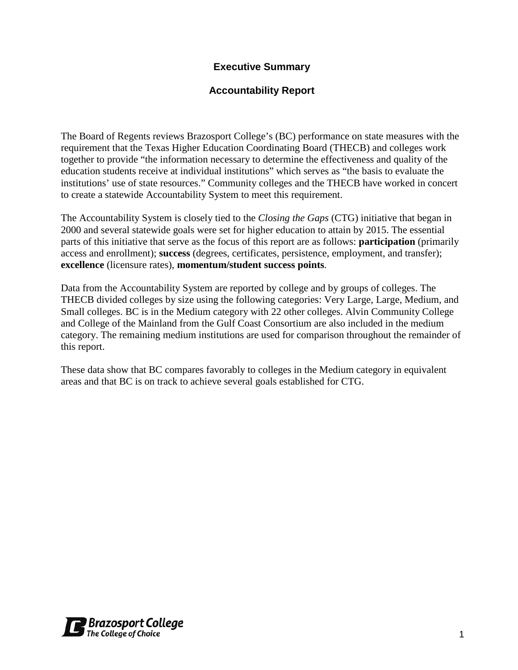## **Executive Summary**

### **Accountability Report**

The Board of Regents reviews Brazosport College's (BC) performance on state measures with the requirement that the Texas Higher Education Coordinating Board (THECB) and colleges work together to provide "the information necessary to determine the effectiveness and quality of the education students receive at individual institutions" which serves as "the basis to evaluate the institutions' use of state resources." Community colleges and the THECB have worked in concert to create a statewide Accountability System to meet this requirement.

The Accountability System is closely tied to the *Closing the Gaps* (CTG) initiative that began in 2000 and several statewide goals were set for higher education to attain by 2015. The essential parts of this initiative that serve as the focus of this report are as follows: **participation** (primarily access and enrollment); **success** (degrees, certificates, persistence, employment, and transfer); **excellence** (licensure rates), **momentum/student success points**.

Data from the Accountability System are reported by college and by groups of colleges. The THECB divided colleges by size using the following categories: Very Large, Large, Medium, and Small colleges. BC is in the Medium category with 22 other colleges. Alvin Community College and College of the Mainland from the Gulf Coast Consortium are also included in the medium category. The remaining medium institutions are used for comparison throughout the remainder of this report.

These data show that BC compares favorably to colleges in the Medium category in equivalent areas and that BC is on track to achieve several goals established for CTG.

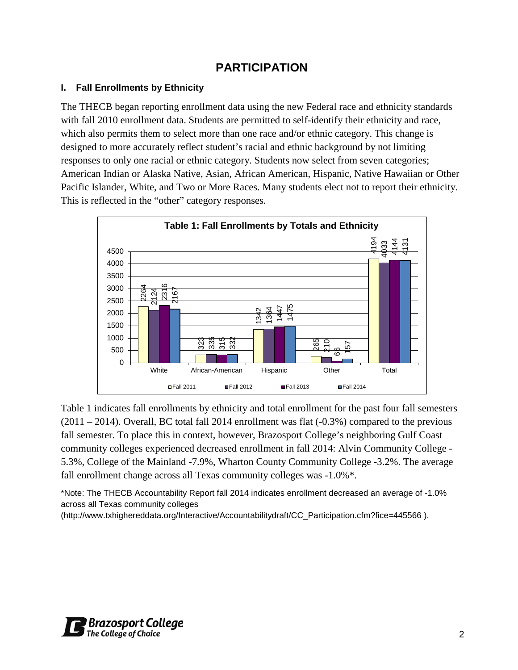## **PARTICIPATION**

#### **I. Fall Enrollments by Ethnicity**

The THECB began reporting enrollment data using the new Federal race and ethnicity standards with fall 2010 enrollment data. Students are permitted to self-identify their ethnicity and race, which also permits them to select more than one race and/or ethnic category. This change is designed to more accurately reflect student's racial and ethnic background by not limiting responses to only one racial or ethnic category. Students now select from seven categories; American Indian or Alaska Native, Asian, African American, Hispanic, Native Hawaiian or Other Pacific Islander, White, and Two or More Races. Many students elect not to report their ethnicity. This is reflected in the "other" category responses.



Table 1 indicates fall enrollments by ethnicity and total enrollment for the past four fall semesters  $(2011 – 2014)$ . Overall, BC total fall 2014 enrollment was flat  $(-0.3%)$  compared to the previous fall semester. To place this in context, however, Brazosport College's neighboring Gulf Coast community colleges experienced decreased enrollment in fall 2014: Alvin Community College - 5.3%, College of the Mainland -7.9%, Wharton County Community College -3.2%. The average fall enrollment change across all Texas community colleges was -1.0%\*.

\*Note: The THECB Accountability Report fall 2014 indicates enrollment decreased an average of -1.0% across all Texas community colleges

(http://www.txhighereddata.org/Interactive/Accountabilitydraft/CC\_Participation.cfm?fice=445566 ).

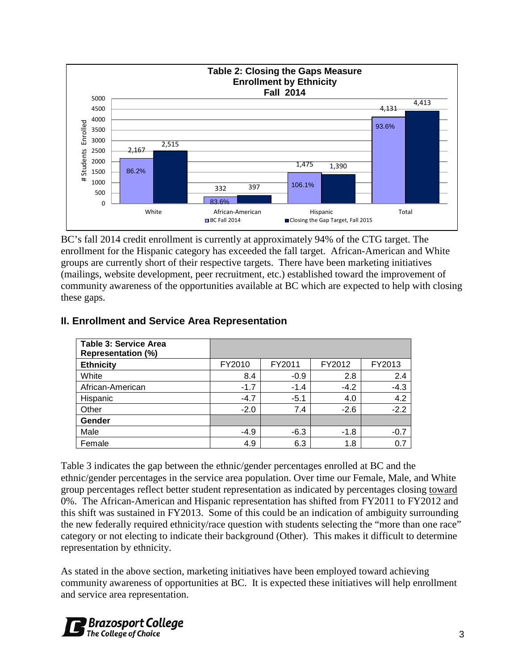

BC's fall 2014 credit enrollment is currently at approximately 94% of the CTG target. The enrollment for the Hispanic category has exceeded the fall target. African-American and White groups are currently short of their respective targets. There have been marketing initiatives (mailings, website development, peer recruitment, etc.) established toward the improvement of community awareness of the opportunities available at BC which are expected to help with closing these gaps.

| <b>Table 3: Service Area</b><br><b>Representation (%)</b> |        |        |        |        |
|-----------------------------------------------------------|--------|--------|--------|--------|
| <b>Ethnicity</b>                                          | FY2010 | FY2011 | FY2012 | FY2013 |
| White                                                     | 8.4    | $-0.9$ | 2.8    | 2.4    |
| African-American                                          | $-1.7$ | $-1.4$ | $-4.2$ | $-4.3$ |
| Hispanic                                                  | $-4.7$ | $-5.1$ | 4.0    | 4.2    |
| Other                                                     | $-2.0$ | 7.4    | $-2.6$ | $-2.2$ |
| Gender                                                    |        |        |        |        |
| Male                                                      | $-4.9$ | $-6.3$ | $-1.8$ | $-0.7$ |
| Female                                                    | 4.9    | 6.3    | 1.8    | 0.7    |

### **II. Enrollment and Service Area Representation**

Table 3 indicates the gap between the ethnic/gender percentages enrolled at BC and the ethnic/gender percentages in the service area population. Over time our Female, Male, and White group percentages reflect better student representation as indicated by percentages closing toward 0%. The African-American and Hispanic representation has shifted from FY2011 to FY2012 and this shift was sustained in FY2013. Some of this could be an indication of ambiguity surrounding the new federally required ethnicity/race question with students selecting the "more than one race" category or not electing to indicate their background (Other). This makes it difficult to determine representation by ethnicity.

As stated in the above section, marketing initiatives have been employed toward achieving community awareness of opportunities at BC. It is expected these initiatives will help enrollment and service area representation.

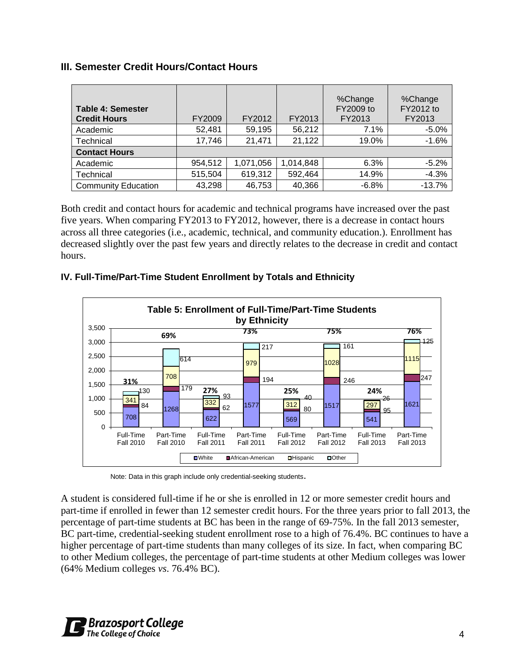### **III. Semester Credit Hours/Contact Hours**

| <b>Table 4: Semester</b><br><b>Credit Hours</b> | FY2009  | FY2012    | FY2013    | %Change<br>FY2009 to<br>FY2013 | %Change<br>FY2012 to<br>FY2013 |
|-------------------------------------------------|---------|-----------|-----------|--------------------------------|--------------------------------|
| Academic                                        | 52,481  | 59,195    | 56,212    | 7.1%                           | $-5.0%$                        |
| Technical                                       | 17,746  | 21,471    | 21,122    | 19.0%                          | $-1.6%$                        |
| <b>Contact Hours</b>                            |         |           |           |                                |                                |
| Academic                                        | 954,512 | 1,071,056 | 1,014,848 | 6.3%                           | $-5.2%$                        |
| Technical                                       | 515,504 | 619,312   | 592,464   | 14.9%                          | $-4.3%$                        |
| <b>Community Education</b>                      | 43,298  | 46,753    | 40,366    | $-6.8%$                        | $-13.7%$                       |

Both credit and contact hours for academic and technical programs have increased over the past five years. When comparing FY2013 to FY2012, however, there is a decrease in contact hours across all three categories (i.e., academic, technical, and community education.). Enrollment has decreased slightly over the past few years and directly relates to the decrease in credit and contact hours.

#### **IV. Full-Time/Part-Time Student Enrollment by Totals and Ethnicity**



Note: Data in this graph include only credential-seeking students.

A student is considered full-time if he or she is enrolled in 12 or more semester credit hours and part-time if enrolled in fewer than 12 semester credit hours. For the three years prior to fall 2013, the percentage of part-time students at BC has been in the range of 69-75%. In the fall 2013 semester, BC part-time, credential-seeking student enrollment rose to a high of 76.4%. BC continues to have a higher percentage of part-time students than many colleges of its size. In fact, when comparing BC to other Medium colleges, the percentage of part-time students at other Medium colleges was lower (64% Medium colleges *vs*. 76.4% BC).

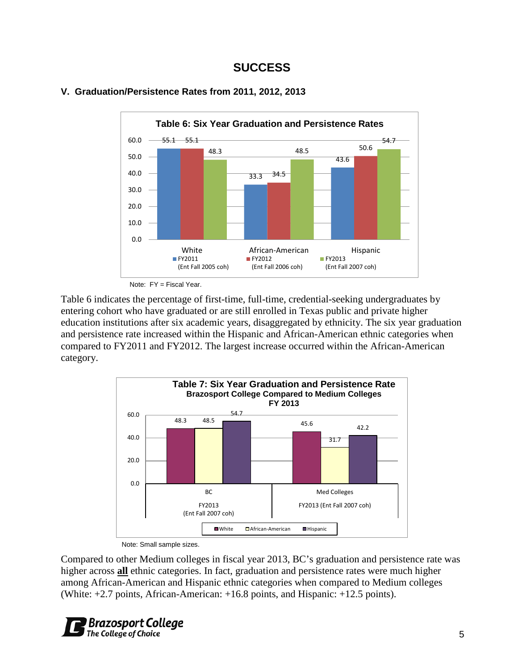## **SUCCESS**



#### **V. Graduation/Persistence Rates from 2011, 2012, 2013**

Note: FY = Fiscal Year.

Table 6 indicates the percentage of first-time, full-time, credential-seeking undergraduates by entering cohort who have graduated or are still enrolled in Texas public and private higher education institutions after six academic years, disaggregated by ethnicity. The six year graduation and persistence rate increased within the Hispanic and African-American ethnic categories when compared to FY2011 and FY2012. The largest increase occurred within the African-American category.



Note: Small sample sizes.

Compared to other Medium colleges in fiscal year 2013, BC's graduation and persistence rate was higher across **all** ethnic categories. In fact, graduation and persistence rates were much higher among African-American and Hispanic ethnic categories when compared to Medium colleges (White: +2.7 points, African-American: +16.8 points, and Hispanic: +12.5 points).

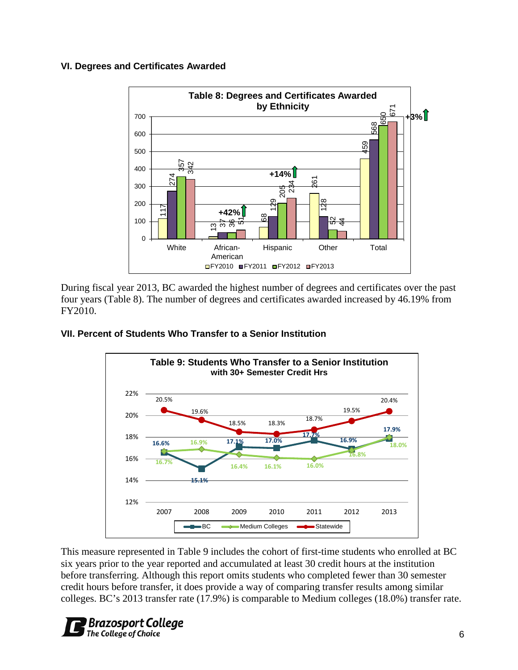#### **VI. Degrees and Certificates Awarded**



During fiscal year 2013, BC awarded the highest number of degrees and certificates over the past four years (Table 8). The number of degrees and certificates awarded increased by 46.19% from FY2010.

#### **VII. Percent of Students Who Transfer to a Senior Institution**



This measure represented in Table 9 includes the cohort of first-time students who enrolled at BC six years prior to the year reported and accumulated at least 30 credit hours at the institution before transferring. Although this report omits students who completed fewer than 30 semester credit hours before transfer, it does provide a way of comparing transfer results among similar colleges. BC's 2013 transfer rate (17.9%) is comparable to Medium colleges (18.0%) transfer rate.

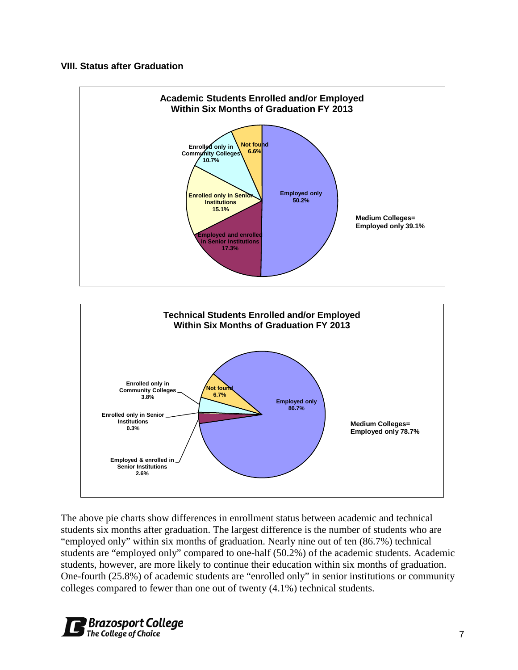#### **VIII. Status after Graduation**





The above pie charts show differences in enrollment status between academic and technical students six months after graduation. The largest difference is the number of students who are "employed only" within six months of graduation. Nearly nine out of ten (86.7%) technical students are "employed only" compared to one-half (50.2%) of the academic students. Academic students, however, are more likely to continue their education within six months of graduation. One-fourth (25.8%) of academic students are "enrolled only" in senior institutions or community colleges compared to fewer than one out of twenty (4.1%) technical students.

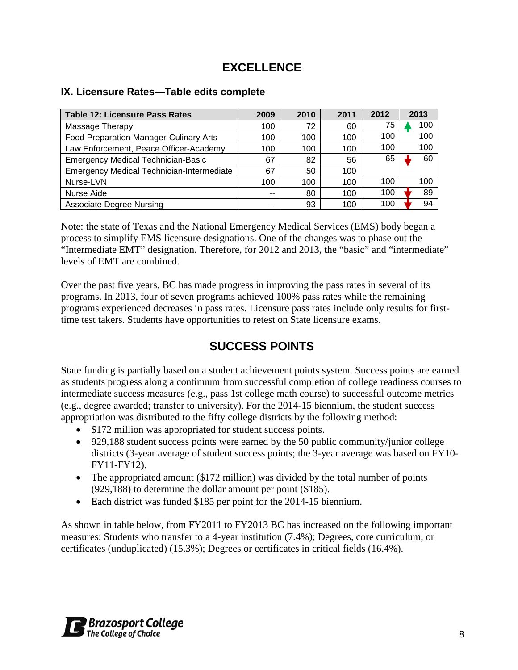# **EXCELLENCE**

| <b>Table 12: Licensure Pass Rates</b>            | 2009 | 2010 | 2011 | 2012 | 2013 |
|--------------------------------------------------|------|------|------|------|------|
| Massage Therapy                                  | 100  | 72   | 60   | 75   | 100  |
| Food Preparation Manager-Culinary Arts           | 100  | 100  | 100  | 100  | 100  |
| Law Enforcement, Peace Officer-Academy           | 100  | 100  | 100  | 100  | 100  |
| <b>Emergency Medical Technician-Basic</b>        | 67   | 82   | 56   | 65   | 60   |
| <b>Emergency Medical Technician-Intermediate</b> | 67   | 50   | 100  |      |      |
| Nurse-LVN                                        | 100  | 100  | 100  | 100  | 100  |
| Nurse Aide                                       | --   | 80   | 100  | 100  | 89   |
| <b>Associate Degree Nursing</b>                  | --   | 93   | 100  | 100  | 94   |

#### **IX. Licensure Rates—Table edits complete**

Note: the state of Texas and the National Emergency Medical Services (EMS) body began a process to simplify EMS licensure designations. One of the changes was to phase out the "Intermediate EMT" designation. Therefore, for 2012 and 2013, the "basic" and "intermediate" levels of EMT are combined.

Over the past five years, BC has made progress in improving the pass rates in several of its programs. In 2013, four of seven programs achieved 100% pass rates while the remaining programs experienced decreases in pass rates. Licensure pass rates include only results for firsttime test takers. Students have opportunities to retest on State licensure exams.

# **SUCCESS POINTS**

State funding is partially based on a student achievement points system. Success points are earned as students progress along a continuum from successful completion of college readiness courses to intermediate success measures (e.g., pass 1st college math course) to successful outcome metrics (e.g., degree awarded; transfer to university). For the 2014-15 biennium, the student success appropriation was distributed to the fifty college districts by the following method:

- \$172 million was appropriated for student success points.
- 929,188 student success points were earned by the 50 public community/junior college districts (3-year average of student success points; the 3-year average was based on FY10- FY11-FY12).
- The appropriated amount (\$172 million) was divided by the total number of points (929,188) to determine the dollar amount per point (\$185).
- Each district was funded \$185 per point for the 2014-15 biennium.

As shown in table below, from FY2011 to FY2013 BC has increased on the following important measures: Students who transfer to a 4-year institution (7.4%); Degrees, core curriculum, or certificates (unduplicated) (15.3%); Degrees or certificates in critical fields (16.4%).